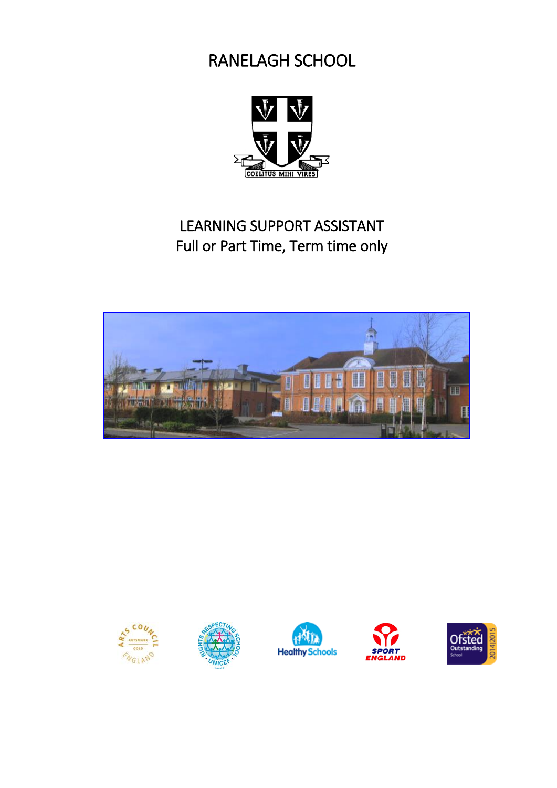# RANELAGH SCHOOL



# LEARNING SUPPORT ASSISTANT Full or Part Time, Term time only











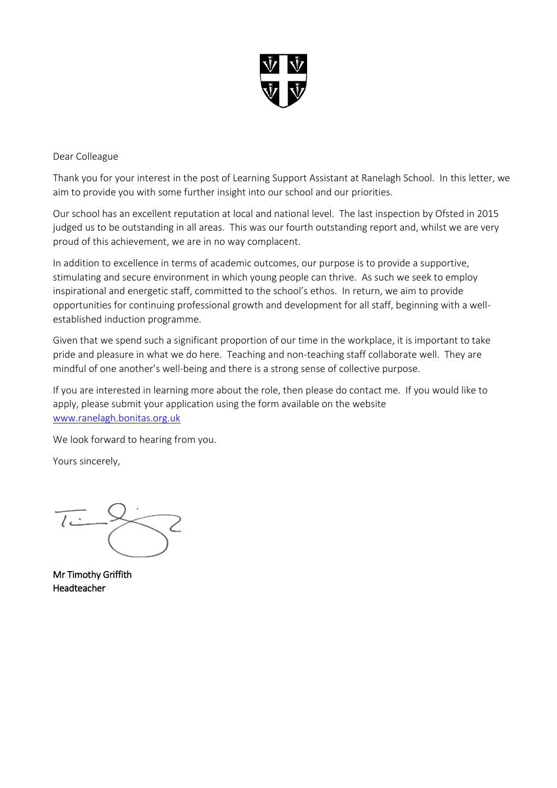

### Dear Colleague

Thank you for your interest in the post of Learning Support Assistant at Ranelagh School. In this letter, we aim to provide you with some further insight into our school and our priorities.

Our school has an excellent reputation at local and national level. The last inspection by Ofsted in 2015 judged us to be outstanding in all areas. This was our fourth outstanding report and, whilst we are very proud of this achievement, we are in no way complacent.

In addition to excellence in terms of academic outcomes, our purpose is to provide a supportive, stimulating and secure environment in which young people can thrive. As such we seek to employ inspirational and energetic staff, committed to the school's ethos. In return, we aim to provide opportunities for continuing professional growth and development for all staff, beginning with a wellestablished induction programme.

Given that we spend such a significant proportion of our time in the workplace, it is important to take pride and pleasure in what we do here. Teaching and non-teaching staff collaborate well. They are mindful of one another's well-being and there is a strong sense of collective purpose.

If you are interested in learning more about the role, then please do contact me. If you would like to apply, please submit your application using the form available on the website [www.ranelagh.bonitas.org.uk](http://www.ranelagh.bonitas.org.uk/)

We look forward to hearing from you.

Yours sincerely,

Mr Timothy Griffith Headteacher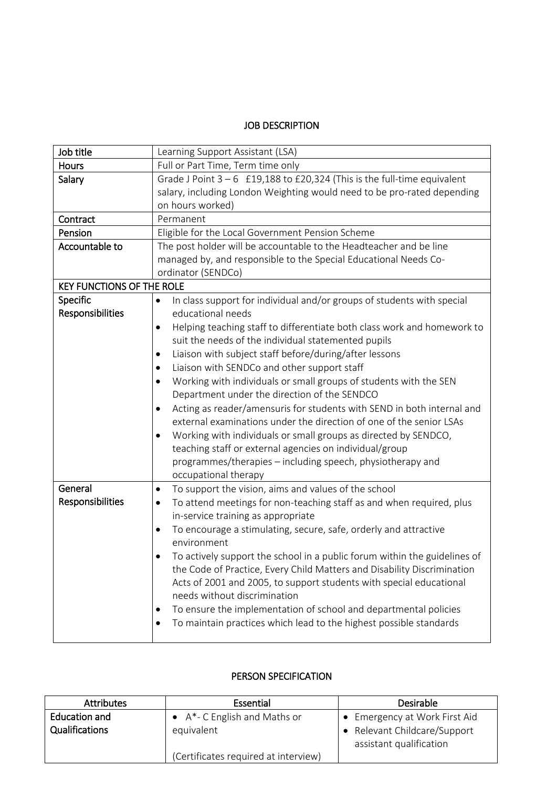### JOB DESCRIPTION

| Job title                 | Learning Support Assistant (LSA)                                                                                               |  |  |
|---------------------------|--------------------------------------------------------------------------------------------------------------------------------|--|--|
| Hours                     | Full or Part Time, Term time only                                                                                              |  |  |
| Salary                    | Grade J Point $3 - 6$ £19,188 to £20,324 (This is the full-time equivalent                                                     |  |  |
|                           | salary, including London Weighting would need to be pro-rated depending                                                        |  |  |
|                           | on hours worked)                                                                                                               |  |  |
| Contract                  | Permanent                                                                                                                      |  |  |
| Pension                   | Eligible for the Local Government Pension Scheme                                                                               |  |  |
| Accountable to            | The post holder will be accountable to the Headteacher and be line                                                             |  |  |
|                           | managed by, and responsible to the Special Educational Needs Co-                                                               |  |  |
|                           | ordinator (SENDCo)                                                                                                             |  |  |
| KEY FUNCTIONS OF THE ROLE |                                                                                                                                |  |  |
| Specific                  | In class support for individual and/or groups of students with special<br>$\bullet$                                            |  |  |
| Responsibilities          | educational needs                                                                                                              |  |  |
|                           | Helping teaching staff to differentiate both class work and homework to                                                        |  |  |
|                           | suit the needs of the individual statemented pupils                                                                            |  |  |
|                           | Liaison with subject staff before/during/after lessons                                                                         |  |  |
|                           | Liaison with SENDCo and other support staff                                                                                    |  |  |
|                           | Working with individuals or small groups of students with the SEN<br>$\bullet$<br>Department under the direction of the SENDCO |  |  |
|                           | Acting as reader/amensuris for students with SEND in both internal and                                                         |  |  |
|                           | external examinations under the direction of one of the senior LSAs                                                            |  |  |
|                           | Working with individuals or small groups as directed by SENDCO,                                                                |  |  |
|                           | teaching staff or external agencies on individual/group                                                                        |  |  |
|                           | programmes/therapies - including speech, physiotherapy and                                                                     |  |  |
|                           | occupational therapy                                                                                                           |  |  |
| General                   | To support the vision, aims and values of the school                                                                           |  |  |
| Responsibilities          | To attend meetings for non-teaching staff as and when required, plus                                                           |  |  |
|                           | in-service training as appropriate                                                                                             |  |  |
|                           | To encourage a stimulating, secure, safe, orderly and attractive                                                               |  |  |
|                           | environment                                                                                                                    |  |  |
|                           | To actively support the school in a public forum within the guidelines of                                                      |  |  |
|                           | the Code of Practice, Every Child Matters and Disability Discrimination                                                        |  |  |
|                           | Acts of 2001 and 2005, to support students with special educational                                                            |  |  |
|                           | needs without discrimination                                                                                                   |  |  |
|                           | To ensure the implementation of school and departmental policies                                                               |  |  |
|                           | To maintain practices which lead to the highest possible standards                                                             |  |  |
|                           |                                                                                                                                |  |  |

# PERSON SPECIFICATION

| <b>Attributes</b>               | Essential                                                                                  | Desirable                                                                                |
|---------------------------------|--------------------------------------------------------------------------------------------|------------------------------------------------------------------------------------------|
| Education and<br>Qualifications | $\bullet$ A*- C English and Maths or<br>equivalent<br>(Certificates required at interview) | • Emergency at Work First Aid<br>• Relevant Childcare/Support<br>assistant qualification |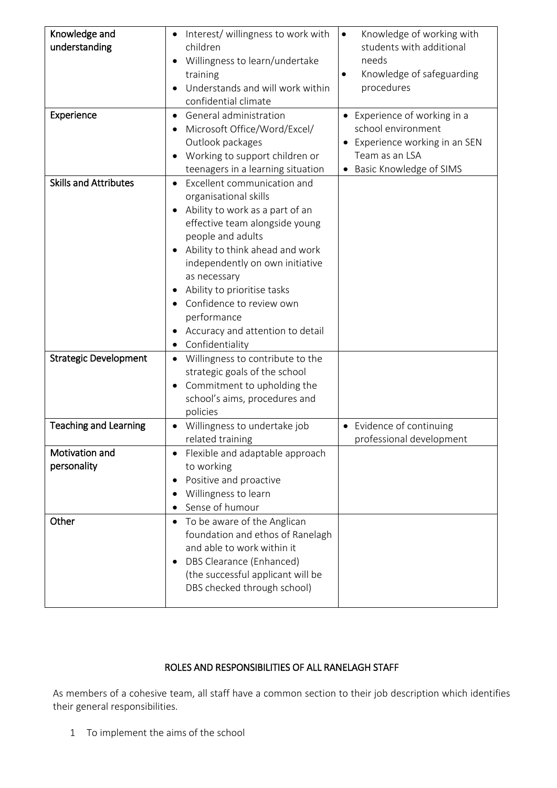| Knowledge and<br>understanding<br>Experience | Interest/ willingness to work with<br>$\bullet$<br>children<br>Willingness to learn/undertake<br>$\bullet$<br>training<br>Understands and will work within<br>confidential climate<br>General administration                                                                                                                                                                                                                   | Knowledge of working with<br>$\bullet$<br>students with additional<br>needs<br>Knowledge of safeguarding<br>procedures          |
|----------------------------------------------|--------------------------------------------------------------------------------------------------------------------------------------------------------------------------------------------------------------------------------------------------------------------------------------------------------------------------------------------------------------------------------------------------------------------------------|---------------------------------------------------------------------------------------------------------------------------------|
|                                              | $\bullet$<br>Microsoft Office/Word/Excel/<br>٠<br>Outlook packages<br>Working to support children or<br>teenagers in a learning situation                                                                                                                                                                                                                                                                                      | • Experience of working in a<br>school environment<br>Experience working in an SEN<br>Team as an LSA<br>Basic Knowledge of SIMS |
| <b>Skills and Attributes</b>                 | Excellent communication and<br>$\bullet$<br>organisational skills<br>Ability to work as a part of an<br>effective team alongside young<br>people and adults<br>Ability to think ahead and work<br>$\bullet$<br>independently on own initiative<br>as necessary<br>Ability to prioritise tasks<br>Confidence to review own<br>٠<br>performance<br>Accuracy and attention to detail<br>$\bullet$<br>Confidentiality<br>$\bullet$ |                                                                                                                                 |
| <b>Strategic Development</b>                 | Willingness to contribute to the<br>$\bullet$<br>strategic goals of the school<br>Commitment to upholding the<br>$\bullet$<br>school's aims, procedures and<br>policies                                                                                                                                                                                                                                                        |                                                                                                                                 |
| <b>Teaching and Learning</b>                 | Willingness to undertake job<br>$\bullet$<br>related training                                                                                                                                                                                                                                                                                                                                                                  | Evidence of continuing<br>$\bullet$<br>professional development                                                                 |
| Motivation and<br>personality                | Flexible and adaptable approach<br>$\bullet$<br>to working<br>Positive and proactive<br>٠<br>Willingness to learn<br>٠<br>Sense of humour                                                                                                                                                                                                                                                                                      |                                                                                                                                 |
| Other                                        | To be aware of the Anglican<br>$\bullet$<br>foundation and ethos of Ranelagh<br>and able to work within it<br>DBS Clearance (Enhanced)<br>$\bullet$<br>(the successful applicant will be<br>DBS checked through school)                                                                                                                                                                                                        |                                                                                                                                 |

# ROLES AND RESPONSIBILITIES OF ALL RANELAGH STAFF

As members of a cohesive team, all staff have a common section to their job description which identifies their general responsibilities.

1 To implement the aims of the school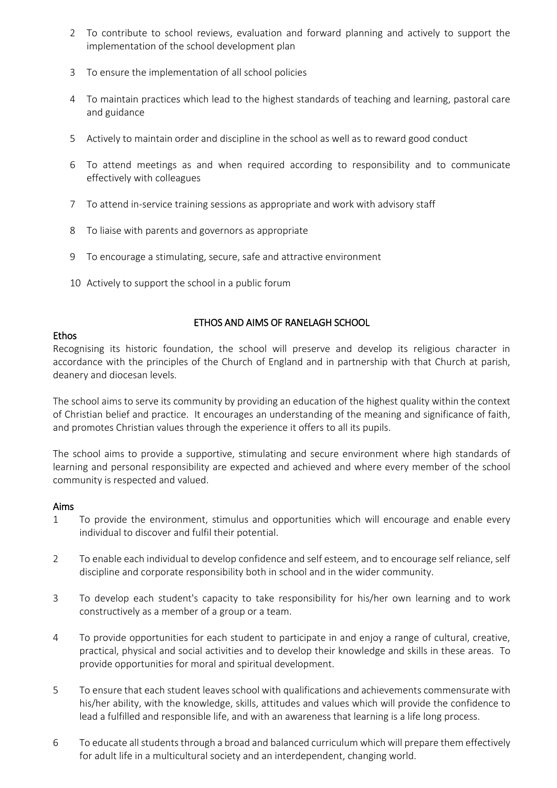- 2 To contribute to school reviews, evaluation and forward planning and actively to support the implementation of the school development plan
- 3 To ensure the implementation of all school policies
- 4 To maintain practices which lead to the highest standards of teaching and learning, pastoral care and guidance
- 5 Actively to maintain order and discipline in the school as well as to reward good conduct
- 6 To attend meetings as and when required according to responsibility and to communicate effectively with colleagues
- 7 To attend in-service training sessions as appropriate and work with advisory staff
- 8 To liaise with parents and governors as appropriate
- 9 To encourage a stimulating, secure, safe and attractive environment
- 10 Actively to support the school in a public forum

# ETHOS AND AIMS OF RANELAGH SCHOOL

#### Ethos

Recognising its historic foundation, the school will preserve and develop its religious character in accordance with the principles of the Church of England and in partnership with that Church at parish, deanery and diocesan levels.

The school aims to serve its community by providing an education of the highest quality within the context of Christian belief and practice. It encourages an understanding of the meaning and significance of faith, and promotes Christian values through the experience it offers to all its pupils.

The school aims to provide a supportive, stimulating and secure environment where high standards of learning and personal responsibility are expected and achieved and where every member of the school community is respected and valued.

#### Aims

- 1 To provide the environment, stimulus and opportunities which will encourage and enable every individual to discover and fulfil their potential.
- 2 To enable each individual to develop confidence and self esteem, and to encourage self reliance, self discipline and corporate responsibility both in school and in the wider community.
- 3 To develop each student's capacity to take responsibility for his/her own learning and to work constructively as a member of a group or a team.
- 4 To provide opportunities for each student to participate in and enjoy a range of cultural, creative, practical, physical and social activities and to develop their knowledge and skills in these areas. To provide opportunities for moral and spiritual development.
- 5 To ensure that each student leaves school with qualifications and achievements commensurate with his/her ability, with the knowledge, skills, attitudes and values which will provide the confidence to lead a fulfilled and responsible life, and with an awareness that learning is a life long process.
- 6 To educate all students through a broad and balanced curriculum which will prepare them effectively for adult life in a multicultural society and an interdependent, changing world.